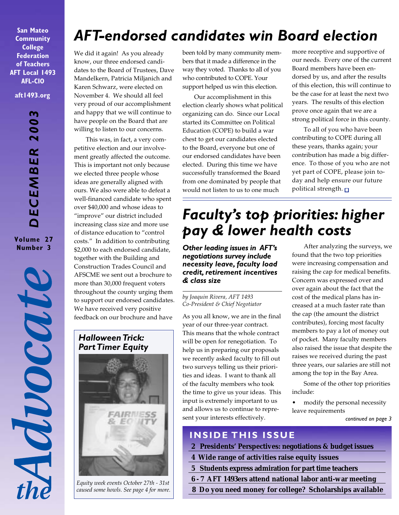**San Mateo Community College Federation of Teachers AFT Local 1493 AFL-CIO aft1493.org**

*DECEMBER 2003* DECEMBER 200 **Volume 27 Number 3**

MOOCOUTE

## *AFT-endorsed candidates win Board election*

We did it again! As you already know, our three endorsed candidates to the Board of Trustees, Dave Mandelkern, Patricia Miljanich and Karen Schwarz, were elected on November 4. We should all feel very proud of our accomplishment and happy that we will continue to have people on the Board that are willing to listen to our concerns.

This was, in fact, a very competitive election and our involvement greatly affected the outcome. This is important not only because we elected three people whose ideas are generally aligned with ours. We also were able to defeat a well-financed candidate who spent over \$40,000 and whose ideas to "improve" our district included increasing class size and more use of distance education to "control costs." In addition to contributing \$2,000 to each endorsed candidate, together with the Building and Construction Trades Council and AFSCME we sent out a brochure to more than 30,000 frequent voters throughout the county urging them to support our endorsed candidates. We have received very positive feedback on our brochure and have

### *Halloween Trick:* **Part Timer Equity**



*Equity week events October 27th - 31st caused some howls. See page 4 for more.* been told by many community members that it made a difference in the way they voted. Thanks to all of you who contributed to COPE. Your support helped us win this election.

Our accomplishment in this election clearly shows what political organizing can do. Since our Local started its Committee on Political Education (COPE) to build a war chest to get our candidates elected to the Board, everyone but one of our endorsed candidates have been elected. During this time we have successfully transformed the Board from one dominated by people that would not listen to us to one much

more receptive and supportive of our needs. Every one of the current Board members have been endorsed by us, and after the results of this election, this will continue to be the case for at least the next two years. The results of this election prove once again that we are a strong political force in this county.

To all of you who have been contributing to COPE during all these years, thanks again; your contribution has made a big difference. To those of you who are not yet part of COPE, please join today and help ensure our future political strength.  $\Box$ 

## *Faculty's top priorities: higher pay & lower health costs*

*Other leading issues in AFT's negotiations survey include necessity leave, faculty load credit, retirement incentives & class size*

*by Joaquin Rivera, AFT 1493 Co-President & Chief Negotiator*

As you all know, we are in the final year of our three-year contract. This means that the whole contract will be open for renegotiation. To help us in preparing our proposals we recently asked faculty to fill out two surveys telling us their priorities and ideas. I want to thank all of the faculty members who took the time to give us your ideas. This input is extremely important to us and allows us to continue to represent your interests effectively.

After analyzing the surveys, we found that the two top priorities were increasing compensation and raising the cap for medical benefits. Concern was expressed over and over again about the fact that the cost of the medical plans has increased at a much faster rate than the cap (the amount the district contributes), forcing most faculty members to pay a lot of money out of pocket. Many faculty members also raised the issue that despite the raises we received during the past three years, our salaries are still not among the top in the Bay Area.

Some of the other top priorities include:

• modify the personal necessity leave requirements

*continued on page 3*

### **INSIDE THIS ISSUE**

- **2 Presidents' Perspectives: negotiations & budget issues**
- **4 Wide range of activities raise equity issues**
- **5 Students express admiration for part time teachers**
- **6 7 AFT 1493ers attend national labor anti-war meeting**
- **8 Do you need money for college? Scholarships available**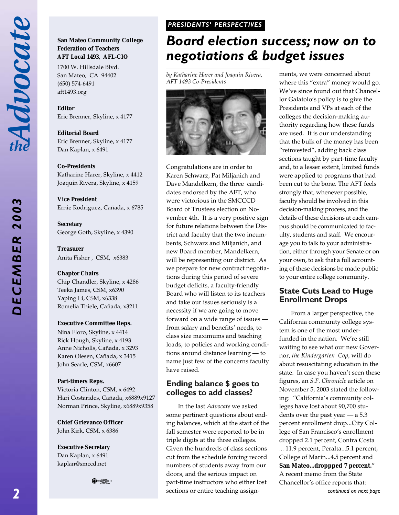## *DECEMBER 2003* 200 DECEMBER

### **San Mateo Community College Federation of Teachers AFT Local 1493, AFL-CIO**

1700 W. Hillsdale Blvd. San Mateo, CA 94402 (650) 574-6491 aft1493.org

**Editor** Eric Brenner, Skyline, x 4177

**Editorial Board** Eric Brenner, Skyline, x 4177 Dan Kaplan, x 6491

**Co-Presidents**

Katharine Harer, Skyline, x 4412 Joaquin Rivera, Skyline, x 4159

**Vice President** Ernie Rodriguez, Cañada, x 6785

**Secretary** George Goth, Skyline, x 4390

**Treasurer** Anita Fisher , CSM, x6383

### **Chapter Chairs**

Chip Chandler, Skyline, x 4286 Teeka James, CSM, x6390 Yaping Li, CSM, x6338 Romelia Thiele, Cañada, x3211

### **Executive Committee Reps.**

Nina Floro, Skyline, x 4414 Rick Hough, Skyline, x 4193 Anne Nicholls, Cañada, x 3293 Karen Olesen, Cañada, x 3415 John Searle, CSM, x6607

### **Part-timers Reps.**

Victoria Clinton, CSM, x 6492 Hari Costarides, Cañada, x6889x9127 Norman Prince, Skyline, x6889x9358

**Chief Grievance Officer** John Kirk, CSM, x 6386

**Executive Secretary** Dan Kaplan, x 6491 kaplan@smccd.net

⊕੶⊜

### *PRESIDENTS' PERSPECTIVES PRESIDENTS' PERSPECTIVES*

### *Board election success; now on to negotiations & budget issues*

*by Katharine Harer and Joaquin Rivera, AFT 1493 Co-Presidents*



Congratulations are in order to Karen Schwarz, Pat Miljanich and Dave Mandelkern, the three candidates endorsed by the AFT, who were victorious in the SMCCCD Board of Trustees election on November 4th. It is a very positive sign for future relations between the District and faculty that the two incumbents, Schwarz and Miljanich, and new Board member, Mandelkern, will be representing our district. As we prepare for new contract negotiations during this period of severe budget deficits, a faculty-friendly Board who will listen to its teachers and take our issues seriously is a necessity if we are going to move forward on a wide range of issues from salary and benefits' needs, to class size maximums and teaching loads, to policies and working conditions around distance learning — to name just few of the concerns faculty have raised.

### **Ending balance \$ goes to colleges to add classes?**

In the last *Advocate* we asked some pertinent questions about ending balances, which at the start of the fall semester were reported to be in triple digits at the three colleges. Given the hundreds of class sections cut from the schedule forcing record numbers of students away from our doors, and the serious impact on part-time instructors who either lost sections or entire teaching assignments, we were concerned about where this "extra" money would go. We've since found out that Chancellor Galatolo's policy is to give the Presidents and VPs at each of the colleges the decision-making authority regarding how these funds are used. It is our understanding that the bulk of the money has been "reinvested", adding back class sections taught by part-time faculty and, to a lesser extent, limited funds were applied to programs that had been cut to the bone. The AFT feels strongly that, whenever possible, faculty should be involved in this decision-making process, and the details of these decisions at each campus should be communicated to faculty, students and staff. We encourage you to talk to your administration, either through your Senate or on your own, to ask that a full accounting of these decisions be made public to your entire college community.

### **State Cuts Lead to Huge Enrollment Drops**

*continued on next page* From a larger perspective, the California community college system is one of the most underfunded in the nation. We're still waiting to see what our new Governor, *the Kindergarten Cop*, will do about resuscitating education in the state. In case you haven't seen these figures, an *S.F. Chronicle* article on November 5, 2003 stated the following: "California's community colleges have lost about 90,700 students over the past year — a 5.3 percent enrollment drop...City College of San Francisco's enrollment dropped 2.1 percent, Contra Costa ... 11.9 percent, Peralta...5.1 percent, College of Marin...4.5 percent and **San Mateo...droppped 7 percent.**" A recent memo from the State Chancellor's office reports that: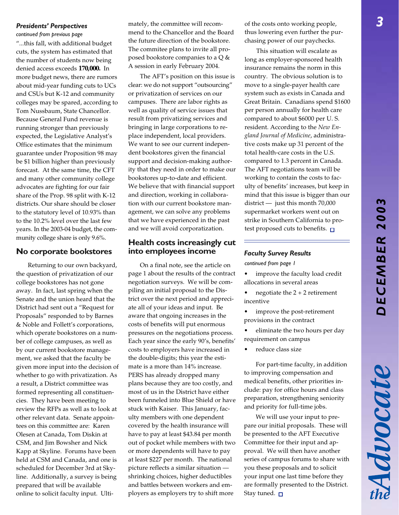# *DECEMBER 2003* DECEMBER 200

Advocate

### *Presidents' Perspectives*

*continued from previous page*

"...this fall, with additional budget cuts, the system has estimated that the number of students now being denied access exceeds **170,000.** In more budget news, there are rumors about mid-year funding cuts to UCs and CSUs but K-12 and community colleges may be spared, according to Tom Nussbaum, State Chancellor. Because General Fund revenue is running stronger than previously expected, the Legislative Analyst's Office estimates that the minimum guarantee under Proposition 98 may be \$1 billion higher than previously forecast. At the same time, the CFT and many other community college advocates are fighting for our fair share of the Prop. 98 split with K-12 districts. Our share should be closer to the statutory level of 10.93% than to the 10.2% level over the last few years. In the 2003-04 budget, the community college share is only 9.6%.

### **No corporate bookstores**

Returning to our own backyard, the question of privatization of our college bookstores has not gone away. In fact, last spring when the Senate and the union heard that the District had sent out a "Request for Proposals" responded to by Barnes & Noble and Follett's corporations, which operate bookstores on a number of college campuses, as well as by our current bookstore management, we asked that the faculty be given more input into the decision of whether to go with privatization. As a result, a District committee was formed representing all constituencies. They have been meeting to review the RFPs as well as to look at other relevant data. Senate appointees on this committee are: Karen Olesen at Canada, Tom Diskin at CSM, and Jim Bowsher and Nick Kapp at Skyline. Forums have been held at CSM and Canada, and one is scheduled for December 3rd at Skyline. Additionally, a survey is being prepared that will be available online to solicit faculty input. Ultimately, the committee will recommend to the Chancellor and the Board the future direction of the bookstore. The commitee plans to invite all proposed bookstore companies to a Q & A session in early February 2004.

The AFT's position on this issue is clear: we do not support "outsourcing" or privatization of services on our campuses. There are labor rights as well as quality of service issues that result from privatizing services and bringing in large corporations to replace independent, local providers. We want to see our current independent bookstores given the financial support and decision-making authority that they need in order to make our bookstores up-to-date and efficient. We believe that with financial support and direction, working in collaboration with our current bookstore management, we can solve any problems that we have experienced in the past and we will avoid corporatization.

### **Health costs increasingly cut into employees income**

On a final note, see the article on page 1 about the results of the contract negotiation surveys. We will be compiling an initial proposal to the District over the next period and appreciate all of your ideas and input. Be aware that ongoing increases in the costs of benefits will put enormous pressures on the negotiations process. Each year since the early 90's, benefits' costs to employers have increased in the double-digits; this year the estimate is a more than 14% increase. PERS has already dropped many plans because they are too costly, and most of us in the District have either been funneled into Blue Shield or have stuck with Kaiser. This January, faculty members with one dependent covered by the health insurance will have to pay at least \$43.84 per month out of pocket while members with two or more dependents will have to pay at least \$227 per month. The national picture reflects a similar situation shrinking choices, higher deductibles and battles between workers and employers as employers try to shift more

of the costs onto working people, thus lowering even further the purchasing power of our paychecks.

This situation will escalate as long as employer-sponsored health insurance remains the norm in this country. The obvious solution is to move to a single-payer health care system such as exists in Canada and Great Britain. Canadians spend \$1600 per person annually for health care compared to about \$6000 per U. S. resident. According to the *New England Journal of Medicine*, administrative costs make up 31 percent of the total health-care costs in the U.S. compared to 1.3 percent in Canada. The AFT negotiations team will be working to contain the costs to faculty of benefits' increases, but keep in mind that this issue is bigger than our district — just this month 70,000 supermarket workers went out on strike in Southern California to protest proposed cuts to benefits.  $\square$ 

### *Faculty Survey Results*

*continued from page 1*

- improve the faculty load credit allocations in several areas
- negotiate the  $2 + 2$  retirement incentive
- improve the post-retirement provisions in the contract
- eliminate the two hours per day requirement on campus
- reduce class size

For part-time faculty, in addition to improving compensation and medical benefits, other priorities include: pay for office hours and class preparation, strengthening seniority and priority for full-time jobs.

We will use your input to prepare our initial proposals. These will be presented to the AFT Executive Committee for their input and approval. We will then have another series of campus forums to share with you these proposals and to solicit your input one last time before they are formally presented to the District. Stay tuned.  $\Box$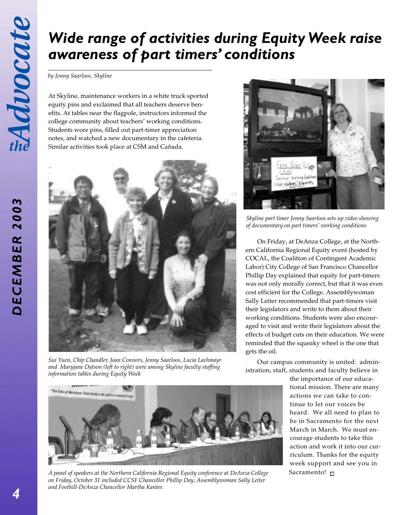*DECEMBER 2003*

DECEMBER 2003

## *Wide range of activities during Equity Week raise awareness of part timers' conditions*

*by Jenny Saarloos, Skyline*

At Skyline, maintenance workers in a white truck sported equity pins and exclaimed that all teachers deserve benefits. At tables near the flagpole, instructors informed the college community about teachers' working conditions. Students wore pins, filled out part-timer appreciation notes, and watched a new documentary in the cafeteria. Similar activities took place at CSM and Cañada.



*Sui Yuen, Chip Chandler, Joan Connors, Jenny Saarloos, Lucia Lachmayr and Maryjane Datson (left to right) were among Skyline faculty staffing information tables during Equity Week*



*Skyline part timer Jenny Saarloos sets up video showing of documentary on part timers' working conditions*

On Friday, at DeAnza College, at the Northern California Regional Equity event (hosted by COCAL, the Coalition of Contingent Academic Labor) City College of San Francisco Chancellor Phillip Day explained that equity for part-timers was not only morally correct, but that it was even cost efficient for the College. Assemblywoman Sally Leiter recommended that part-timers visit their legislators and write to them about their working conditions. Students were also encouraged to visit and write their legislators about the effects of budget cuts on their education. We were reminded that the squeaky wheel is the one that gets the oil.

Our campus community is united: administration, staff, students and faculty believe in

> the importance of our educational mission. There are many actions we can take to continue to let our voices be heard. We all need to plan to be in Sacramento for the next March in March. We must encourage students to take this action and work it into our curriculum. Thanks for the equity week support and see you in Sacramento! □



*A panel of speakers at the Northern California Regional Equity conference at DeAnza College on Friday, October 31 included CCSF Chancellor Phillip Day, Assemblywoman Sally Leiter and Foothill-DeAnza Chancellor Martha Kanter.*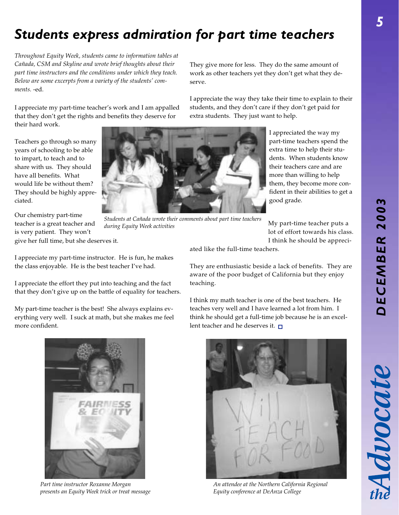# *DECEMBER 2003* DECEMBER 200

## *Students express admiration for part time teachers*

*Throughout Equity Week, students came to information tables at Cañada, CSM and Skyline and wrote brief thoughts about their part time instructors and the conditions under which they teach. Below are some excerpts from a variety of the students' comments.* -ed.

I appreciate my part-time teacher's work and I am appalled that they don't get the rights and benefits they deserve for their hard work.

Teachers go through so many years of schooling to be able to impart, to teach and to share with us. They should have all benefits. What would life be without them? They should be highly appreciated.

Our chemistry part-time teacher is a great teacher and is very patient. They won't give her full time, but she deserves it.

*Students at Cañada wrote their comments about part time teachers during Equity Week activities*

They give more for less. They do the same amount of work as other teachers yet they don't get what they deserve.

I appreciate the way they take their time to explain to their students, and they don't care if they don't get paid for extra students. They just want to help.

> I appreciated the way my part-time teachers spend the extra time to help their students. When students know their teachers care and are more than willing to help them, they become more confident in their abilities to get a good grade.

My part-time teacher puts a lot of effort towards his class. I think he should be appreci-

I appreciate my part-time instructor. He is fun, he makes the class enjoyable. He is the best teacher I've had.

I appreciate the effort they put into teaching and the fact that they don't give up on the battle of equality for teachers.

My part-time teacher is the best! She always explains everything very well. I suck at math, but she makes me feel more confident.

ated like the full-time teachers.

They are enthusiastic beside a lack of benefits. They are aware of the poor budget of California but they enjoy teaching.

I think my math teacher is one of the best teachers. He teaches very well and I have learned a lot from him. I think he should get a full-time job because he is an excellent teacher and he deserves it.  $\square$ 



*Part time instructor Roxanne Morgan presents an Equity Week trick or treat message*



*An attendee at the Northern California Regional Equity conference at DeAnza College*



Advocat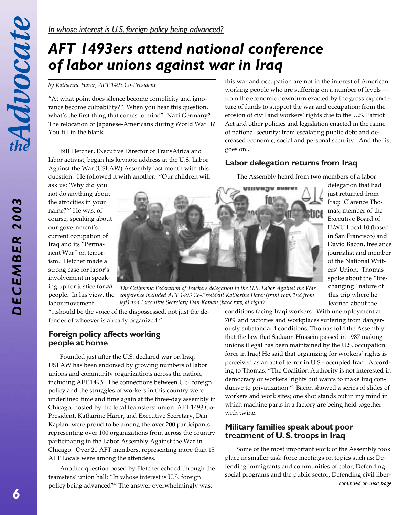## *AFT 1493ers attend national conference of labor unions against war in Iraq*

*by Katharine Harer, AFT 1493 Co-President*

"At what point does silence become complicity and ignorance become culpability?" When you hear this question, what's the first thing that comes to mind? Nazi Germany? The relocation of Japanese-Americans during World War II? You fill in the blank.

Bill Fletcher, Executive Director of TransAfrica and labor activist, began his keynote address at the U.S. Labor Against the War (USLAW) Assembly last month with this question. He followed it with another: "Our children will

ask us: 'Why did you not do anything about the atrocities in your name?'" He was, of course, speaking about our government's current occupation of Iraq and its "Permanent War" on terrorism. Fletcher made a strong case for labor's involvement in speaking up for justice for *all* people. In his view, the labor movement



*The California Federation of Teachers delegation to the U.S. Labor Against the War conference included AFT 1493 Co-President Katharine Harer (front row, 2nd from left) and Executive Secretary Dan Kaplan (back row, at right)*

"...should be the voice of the dispossessed, not just the defender of whoever is already organized."

### **Foreign policy affects working people at home**

Founded just after the U.S. declared war on Iraq, USLAW has been endorsed by growing numbers of labor unions and community organizations across the nation, including AFT 1493. The connections between U.S. foreign policy and the struggles of workers in this country were underlined time and time again at the three-day assembly in Chicago, hosted by the local teamsters' union. AFT 1493 Co-President, Katharine Harer, and Executive Secretary, Dan Kaplan, were proud to be among the over 200 participants representing over 100 organizations from across the country participating in the Labor Assembly Against the War in Chicago. Over 20 AFT members, representing more than 15 AFT Locals were among the attendees.

Another question posed by Fletcher echoed through the teamsters' union hall: "In whose interest is U.S. foreign policy being advanced?" The answer overwhelmingly was:

learned about the conditions facing Iraqi workers. With unemployment at 70% and factories and workplaces suffering from dangerously substandard conditions, Thomas told the Assembly that the law that Sadaam Hussein passed in 1987 making unions illegal has been maintained by the U.S. occupation force in Iraq! He said that organizing for workers' rights is perceived as an act of terror in U.S.- occupied Iraq. According to Thomas, "The Coalition Authority is not interested in democracy or workers' rights but wants to make Iraq conducive to privatization." Bacon showed a series of slides of workers and work sites; one shot stands out in my mind in which machine parts in a factory are being held together with twine.

### **Military families speak about poor treatment of U. S. troops in Iraq**

Some of the most important work of the Assembly took place in smaller task-force meetings on topics such as: Defending immigrants and communities of color; Defending social programs and the public sector; Defending civil liber*continued on next page*

this war and occupation are not in the interest of American working people who are suffering on a number of levels from the economic downturn exacted by the gross expenditure of funds to support the war and occupation; from the erosion of civil and workers' rights due to the U.S. Patriot Act and other policies and legislation enacted in the name of national security; from escalating public debt and decreased economic, social and personal security. And the list goes on...

### **Labor delegation returns from Iraq**

The Assembly heard from two members of a labor

delegation that had just returned from Iraq: Clarence Thomas, member of the Executive Board of ILWU Local 10 (based in San Francisco) and David Bacon, freelance journalist and member of the National Writers' Union. Thomas spoke about the "life-

changing" nature of this trip where he

DECEMBER 2003 *DECEMBER 2003*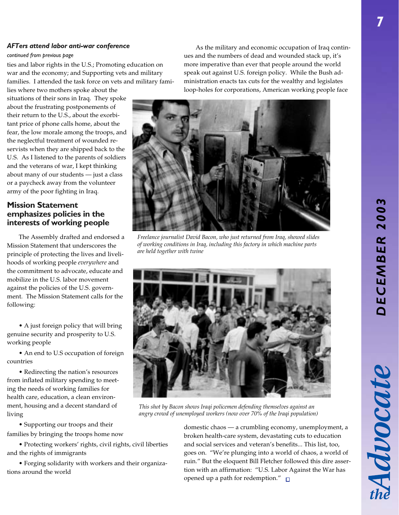Advocate

### *AFTers attend labor anti-war conference*

#### *continued from previous page*

ties and labor rights in the U.S.; Promoting education on war and the economy; and Supporting vets and military families. I attended the task force on vets and military fami-

lies where two mothers spoke about the situations of their sons in Iraq. They spoke about the frustrating postponements of their return to the U.S., about the exorbitant price of phone calls home, about the fear, the low morale among the troops, and the neglectful treatment of wounded reservists when they are shipped back to the U.S. As I listened to the parents of soldiers and the veterans of war, I kept thinking about many of our students — just a class or a paycheck away from the volunteer army of the poor fighting in Iraq.

### **Mission Statement emphasizes policies in the interests of working people**

The Assembly drafted and endorsed a Mission Statement that underscores the principle of protecting the lives and livelihoods of working people *everywhere* and the commitment to advocate, educate and mobilize in the U.S. labor movement against the policies of the U.S. government. The Mission Statement calls for the following:

• A just foreign policy that will bring genuine security and prosperity to U.S. working people

• An end to U.S occupation of foreign countries

• Redirecting the nation's resources from inflated military spending to meeting the needs of working families for health care, education, a clean environment, housing and a decent standard of living

• Supporting our troops and their families by bringing the troops home now

• Protecting workers' rights, civil rights, civil liberties and the rights of immigrants

• Forging solidarity with workers and their organizations around the world

As the military and economic occupation of Iraq continues and the numbers of dead and wounded stack up, it's more imperative than ever that people around the world speak out against U.S. foreign policy. While the Bush administration enacts tax cuts for the wealthy and legislates loop-holes for corporations, American working people face



*Freelance journalist David Bacon, who just returned from Iraq, showed slides of working conditions in Iraq, including this factory in which machine parts are held together with twine*



*This shot by Bacon shows Iraqi policemen defending themselves against an angry crowd of unemployed workers (now over 70% of the Iraqi population)*

domestic chaos — a crumbling economy, unemployment, a broken health-care system, devastating cuts to education and social services and veteran's benefits... This list, too, goes on. "We're plunging into a world of chaos, a world of ruin." But the eloquent Bill Fletcher followed this dire assertion with an affirmation: "U.S. Labor Against the War has opened up a path for redemption."  $\square$